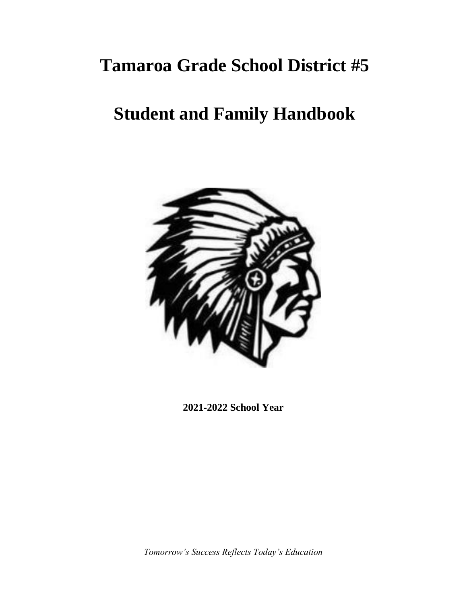# **Tamaroa Grade School District #5**

# **Student and Family Handbook**



**2021-2022 School Year** 

*Tomorrow's Success Reflects Today's Education*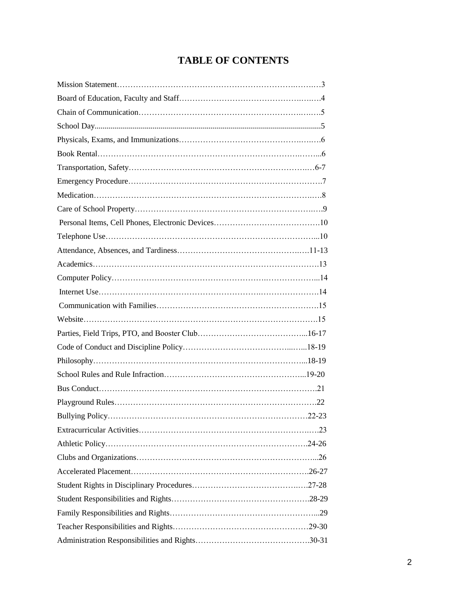# **TABLE OF CONTENTS**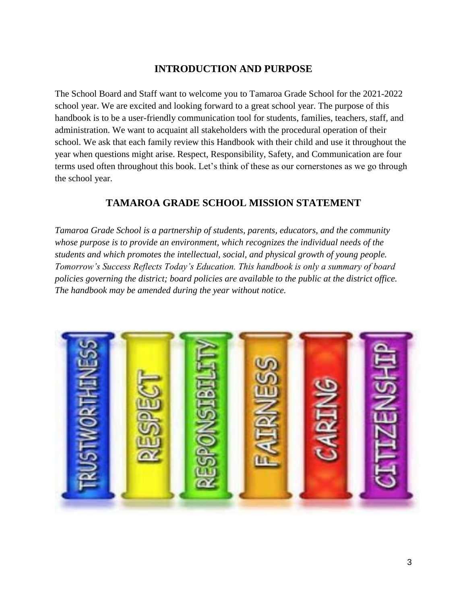# **INTRODUCTION AND PURPOSE**

The School Board and Staff want to welcome you to Tamaroa Grade School for the 2021-2022 school year. We are excited and looking forward to a great school year. The purpose of this handbook is to be a user-friendly communication tool for students, families, teachers, staff, and administration. We want to acquaint all stakeholders with the procedural operation of their school. We ask that each family review this Handbook with their child and use it throughout the year when questions might arise. Respect, Responsibility, Safety, and Communication are four terms used often throughout this book. Let's think of these as our cornerstones as we go through the school year.

# **TAMAROA GRADE SCHOOL MISSION STATEMENT**

*Tamaroa Grade School is a partnership of students, parents, educators, and the community whose purpose is to provide an environment, which recognizes the individual needs of the students and which promotes the intellectual, social, and physical growth of young people. Tomorrow's Success Reflects Today's Education. This handbook is only a summary of board policies governing the district; board policies are available to the public at the district office. The handbook may be amended during the year without notice.* 

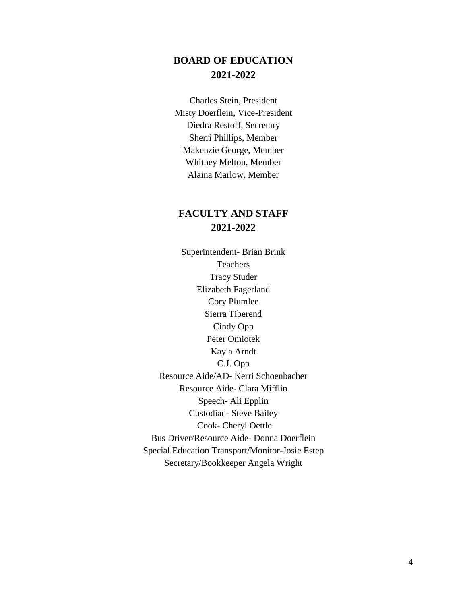# **BOARD OF EDUCATION 2021-2022**

Charles Stein, President Misty Doerflein, Vice-President Diedra Restoff, Secretary Sherri Phillips, Member Makenzie George, Member Whitney Melton, Member Alaina Marlow, Member

# **FACULTY AND STAFF 2021-2022**

Superintendent- Brian Brink Teachers Tracy Studer Elizabeth Fagerland Cory Plumlee Sierra Tiberend Cindy Opp Peter Omiotek Kayla Arndt C.J. Opp Resource Aide/AD- Kerri Schoenbacher Resource Aide- Clara Mifflin Speech- Ali Epplin Custodian- Steve Bailey Cook- Cheryl Oettle Bus Driver/Resource Aide- Donna Doerflein Special Education Transport/Monitor-Josie Estep Secretary/Bookkeeper Angela Wright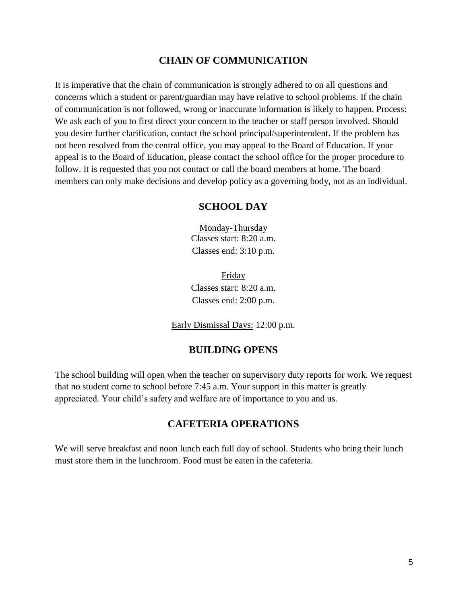## **CHAIN OF COMMUNICATION**

It is imperative that the chain of communication is strongly adhered to on all questions and concerns which a student or parent/guardian may have relative to school problems. If the chain of communication is not followed, wrong or inaccurate information is likely to happen. Process: We ask each of you to first direct your concern to the teacher or staff person involved. Should you desire further clarification, contact the school principal/superintendent. If the problem has not been resolved from the central office, you may appeal to the Board of Education. If your appeal is to the Board of Education, please contact the school office for the proper procedure to follow. It is requested that you not contact or call the board members at home. The board members can only make decisions and develop policy as a governing body, not as an individual.

### **SCHOOL DAY**

Monday-Thursday Classes start: 8:20 a.m. Classes end: 3:10 p.m.

Friday Classes start: 8:20 a.m. Classes end: 2:00 p.m.

Early Dismissal Days: 12:00 p.m.

# **BUILDING OPENS**

The school building will open when the teacher on supervisory duty reports for work. We request that no student come to school before 7:45 a.m. Your support in this matter is greatly appreciated. Your child's safety and welfare are of importance to you and us.

## **CAFETERIA OPERATIONS**

We will serve breakfast and noon lunch each full day of school. Students who bring their lunch must store them in the lunchroom. Food must be eaten in the cafeteria.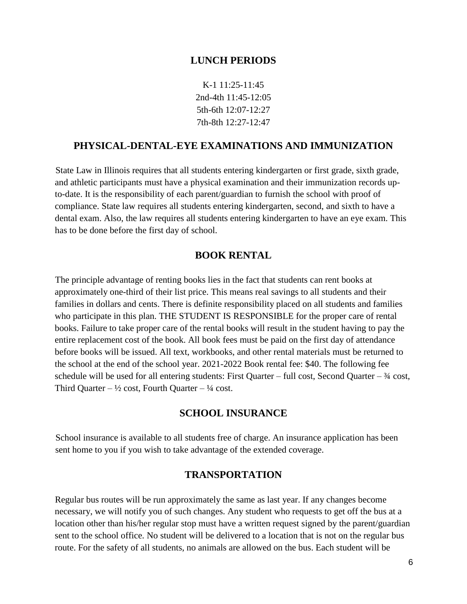#### **LUNCH PERIODS**

K-1 11:25-11:45 2nd-4th 11:45-12:05 5th-6th 12:07-12:27 7th-8th 12:27-12:47

#### **PHYSICAL-DENTAL-EYE EXAMINATIONS AND IMMUNIZATION**

State Law in Illinois requires that all students entering kindergarten or first grade, sixth grade, and athletic participants must have a physical examination and their immunization records upto-date. It is the responsibility of each parent/guardian to furnish the school with proof of compliance. State law requires all students entering kindergarten, second, and sixth to have a dental exam. Also, the law requires all students entering kindergarten to have an eye exam. This has to be done before the first day of school.

#### **BOOK RENTAL**

The principle advantage of renting books lies in the fact that students can rent books at approximately one-third of their list price. This means real savings to all students and their families in dollars and cents. There is definite responsibility placed on all students and families who participate in this plan. THE STUDENT IS RESPONSIBLE for the proper care of rental books. Failure to take proper care of the rental books will result in the student having to pay the entire replacement cost of the book. All book fees must be paid on the first day of attendance before books will be issued. All text, workbooks, and other rental materials must be returned to the school at the end of the school year. 2021-2022 Book rental fee: \$40. The following fee schedule will be used for all entering students: First Quarter – full cost, Second Quarter –  $\frac{3}{4}$  cost, Third Quarter –  $\frac{1}{2}$  cost, Fourth Quarter –  $\frac{1}{4}$  cost.

#### **SCHOOL INSURANCE**

School insurance is available to all students free of charge. An insurance application has been sent home to you if you wish to take advantage of the extended coverage.

#### **TRANSPORTATION**

Regular bus routes will be run approximately the same as last year. If any changes become necessary, we will notify you of such changes. Any student who requests to get off the bus at a location other than his/her regular stop must have a written request signed by the parent/guardian sent to the school office. No student will be delivered to a location that is not on the regular bus route. For the safety of all students, no animals are allowed on the bus. Each student will be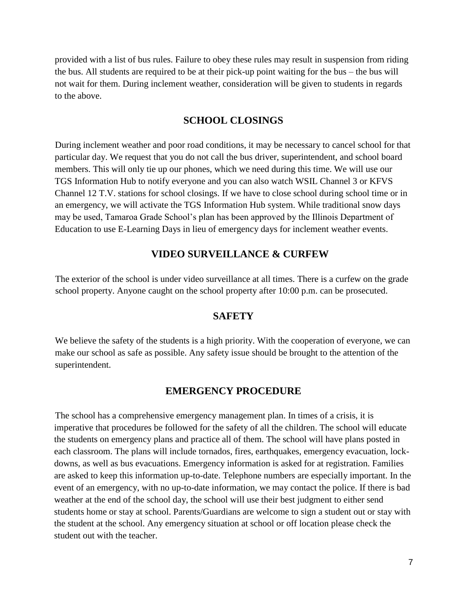provided with a list of bus rules. Failure to obey these rules may result in suspension from riding the bus. All students are required to be at their pick-up point waiting for the bus – the bus will not wait for them. During inclement weather, consideration will be given to students in regards to the above.

## **SCHOOL CLOSINGS**

During inclement weather and poor road conditions, it may be necessary to cancel school for that particular day. We request that you do not call the bus driver, superintendent, and school board members. This will only tie up our phones, which we need during this time. We will use our TGS Information Hub to notify everyone and you can also watch WSIL Channel 3 or KFVS Channel 12 T.V. stations for school closings. If we have to close school during school time or in an emergency, we will activate the TGS Information Hub system. While traditional snow days may be used, Tamaroa Grade School's plan has been approved by the Illinois Department of Education to use E-Learning Days in lieu of emergency days for inclement weather events.

## **VIDEO SURVEILLANCE & CURFEW**

The exterior of the school is under video surveillance at all times. There is a curfew on the grade school property. Anyone caught on the school property after 10:00 p.m. can be prosecuted.

### **SAFETY**

We believe the safety of the students is a high priority. With the cooperation of everyone, we can make our school as safe as possible. Any safety issue should be brought to the attention of the superintendent.

### **EMERGENCY PROCEDURE**

The school has a comprehensive emergency management plan. In times of a crisis, it is imperative that procedures be followed for the safety of all the children. The school will educate the students on emergency plans and practice all of them. The school will have plans posted in each classroom. The plans will include tornados, fires, earthquakes, emergency evacuation, lockdowns, as well as bus evacuations. Emergency information is asked for at registration. Families are asked to keep this information up-to-date. Telephone numbers are especially important. In the event of an emergency, with no up-to-date information, we may contact the police. If there is bad weather at the end of the school day, the school will use their best judgment to either send students home or stay at school. Parents/Guardians are welcome to sign a student out or stay with the student at the school. Any emergency situation at school or off location please check the student out with the teacher.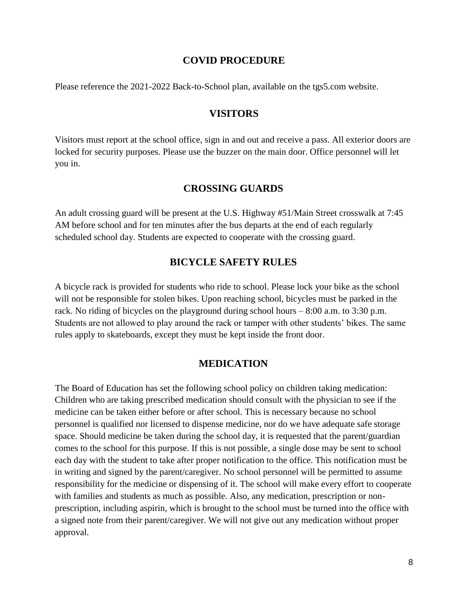#### **COVID PROCEDURE**

Please reference the 2021-2022 Back-to-School plan, available on the tgs5.com website.

#### **VISITORS**

Visitors must report at the school office, sign in and out and receive a pass. All exterior doors are locked for security purposes. Please use the buzzer on the main door. Office personnel will let you in.

#### **CROSSING GUARDS**

An adult crossing guard will be present at the U.S. Highway #51/Main Street crosswalk at 7:45 AM before school and for ten minutes after the bus departs at the end of each regularly scheduled school day. Students are expected to cooperate with the crossing guard.

#### **BICYCLE SAFETY RULES**

A bicycle rack is provided for students who ride to school. Please lock your bike as the school will not be responsible for stolen bikes. Upon reaching school, bicycles must be parked in the rack. No riding of bicycles on the playground during school hours – 8:00 a.m. to 3:30 p.m. Students are not allowed to play around the rack or tamper with other students' bikes. The same rules apply to skateboards, except they must be kept inside the front door.

#### **MEDICATION**

The Board of Education has set the following school policy on children taking medication: Children who are taking prescribed medication should consult with the physician to see if the medicine can be taken either before or after school. This is necessary because no school personnel is qualified nor licensed to dispense medicine, nor do we have adequate safe storage space. Should medicine be taken during the school day, it is requested that the parent/guardian comes to the school for this purpose. If this is not possible, a single dose may be sent to school each day with the student to take after proper notification to the office. This notification must be in writing and signed by the parent/caregiver. No school personnel will be permitted to assume responsibility for the medicine or dispensing of it. The school will make every effort to cooperate with families and students as much as possible. Also, any medication, prescription or nonprescription, including aspirin, which is brought to the school must be turned into the office with a signed note from their parent/caregiver. We will not give out any medication without proper approval.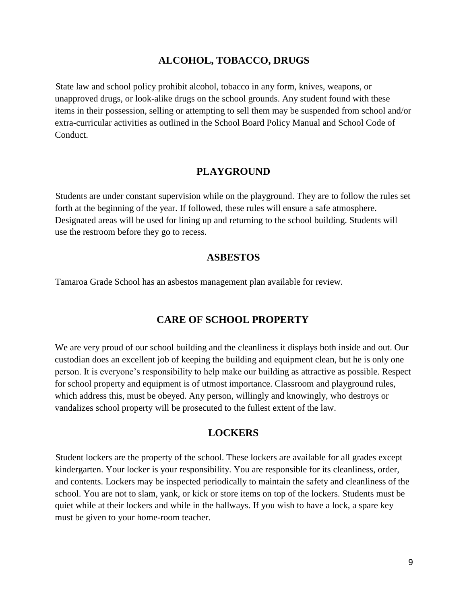#### **ALCOHOL, TOBACCO, DRUGS**

State law and school policy prohibit alcohol, tobacco in any form, knives, weapons, or unapproved drugs, or look-alike drugs on the school grounds. Any student found with these items in their possession, selling or attempting to sell them may be suspended from school and/or extra-curricular activities as outlined in the School Board Policy Manual and School Code of Conduct.

#### **PLAYGROUND**

Students are under constant supervision while on the playground. They are to follow the rules set forth at the beginning of the year. If followed, these rules will ensure a safe atmosphere. Designated areas will be used for lining up and returning to the school building. Students will use the restroom before they go to recess.

#### **ASBESTOS**

Tamaroa Grade School has an asbestos management plan available for review.

#### **CARE OF SCHOOL PROPERTY**

We are very proud of our school building and the cleanliness it displays both inside and out. Our custodian does an excellent job of keeping the building and equipment clean, but he is only one person. It is everyone's responsibility to help make our building as attractive as possible. Respect for school property and equipment is of utmost importance. Classroom and playground rules, which address this, must be obeyed. Any person, willingly and knowingly, who destroys or vandalizes school property will be prosecuted to the fullest extent of the law.

#### **LOCKERS**

Student lockers are the property of the school. These lockers are available for all grades except kindergarten. Your locker is your responsibility. You are responsible for its cleanliness, order, and contents. Lockers may be inspected periodically to maintain the safety and cleanliness of the school. You are not to slam, yank, or kick or store items on top of the lockers. Students must be quiet while at their lockers and while in the hallways. If you wish to have a lock, a spare key must be given to your home-room teacher.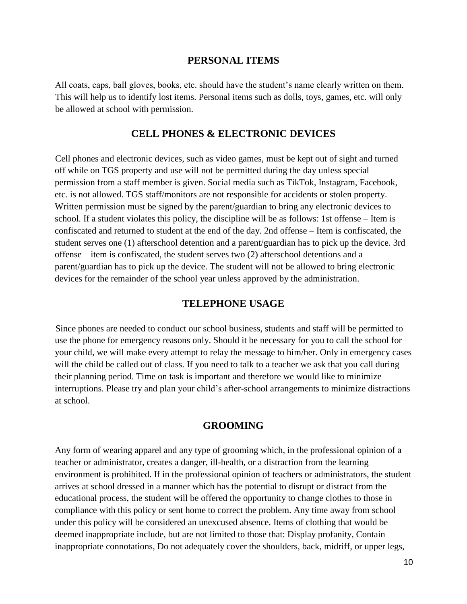#### **PERSONAL ITEMS**

All coats, caps, ball gloves, books, etc. should have the student's name clearly written on them. This will help us to identify lost items. Personal items such as dolls, toys, games, etc. will only be allowed at school with permission.

#### **CELL PHONES & ELECTRONIC DEVICES**

Cell phones and electronic devices, such as video games, must be kept out of sight and turned off while on TGS property and use will not be permitted during the day unless special permission from a staff member is given. Social media such as TikTok, Instagram, Facebook, etc. is not allowed. TGS staff/monitors are not responsible for accidents or stolen property. Written permission must be signed by the parent/guardian to bring any electronic devices to school. If a student violates this policy, the discipline will be as follows: 1st offense – Item is confiscated and returned to student at the end of the day. 2nd offense – Item is confiscated, the student serves one (1) afterschool detention and a parent/guardian has to pick up the device. 3rd offense – item is confiscated, the student serves two (2) afterschool detentions and a parent/guardian has to pick up the device. The student will not be allowed to bring electronic devices for the remainder of the school year unless approved by the administration.

#### **TELEPHONE USAGE**

Since phones are needed to conduct our school business, students and staff will be permitted to use the phone for emergency reasons only. Should it be necessary for you to call the school for your child, we will make every attempt to relay the message to him/her. Only in emergency cases will the child be called out of class. If you need to talk to a teacher we ask that you call during their planning period. Time on task is important and therefore we would like to minimize interruptions. Please try and plan your child's after-school arrangements to minimize distractions at school.

#### **GROOMING**

Any form of wearing apparel and any type of grooming which, in the professional opinion of a teacher or administrator, creates a danger, ill-health, or a distraction from the learning environment is prohibited. If in the professional opinion of teachers or administrators, the student arrives at school dressed in a manner which has the potential to disrupt or distract from the educational process, the student will be offered the opportunity to change clothes to those in compliance with this policy or sent home to correct the problem. Any time away from school under this policy will be considered an unexcused absence. Items of clothing that would be deemed inappropriate include, but are not limited to those that: Display profanity, Contain inappropriate connotations, Do not adequately cover the shoulders, back, midriff, or upper legs,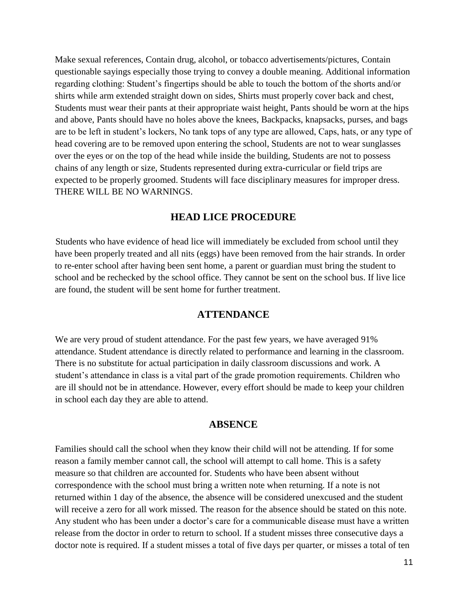Make sexual references, Contain drug, alcohol, or tobacco advertisements/pictures, Contain questionable sayings especially those trying to convey a double meaning. Additional information regarding clothing: Student's fingertips should be able to touch the bottom of the shorts and/or shirts while arm extended straight down on sides, Shirts must properly cover back and chest, Students must wear their pants at their appropriate waist height, Pants should be worn at the hips and above, Pants should have no holes above the knees, Backpacks, knapsacks, purses, and bags are to be left in student's lockers, No tank tops of any type are allowed, Caps, hats, or any type of head covering are to be removed upon entering the school, Students are not to wear sunglasses over the eyes or on the top of the head while inside the building, Students are not to possess chains of any length or size, Students represented during extra-curricular or field trips are expected to be properly groomed. Students will face disciplinary measures for improper dress. THERE WILL BE NO WARNINGS.

#### **HEAD LICE PROCEDURE**

Students who have evidence of head lice will immediately be excluded from school until they have been properly treated and all nits (eggs) have been removed from the hair strands. In order to re-enter school after having been sent home, a parent or guardian must bring the student to school and be rechecked by the school office. They cannot be sent on the school bus. If live lice are found, the student will be sent home for further treatment.

#### **ATTENDANCE**

We are very proud of student attendance. For the past few years, we have averaged 91% attendance. Student attendance is directly related to performance and learning in the classroom. There is no substitute for actual participation in daily classroom discussions and work. A student's attendance in class is a vital part of the grade promotion requirements. Children who are ill should not be in attendance. However, every effort should be made to keep your children in school each day they are able to attend.

#### **ABSENCE**

Families should call the school when they know their child will not be attending. If for some reason a family member cannot call, the school will attempt to call home. This is a safety measure so that children are accounted for. Students who have been absent without correspondence with the school must bring a written note when returning. If a note is not returned within 1 day of the absence, the absence will be considered unexcused and the student will receive a zero for all work missed. The reason for the absence should be stated on this note. Any student who has been under a doctor's care for a communicable disease must have a written release from the doctor in order to return to school. If a student misses three consecutive days a doctor note is required. If a student misses a total of five days per quarter, or misses a total of ten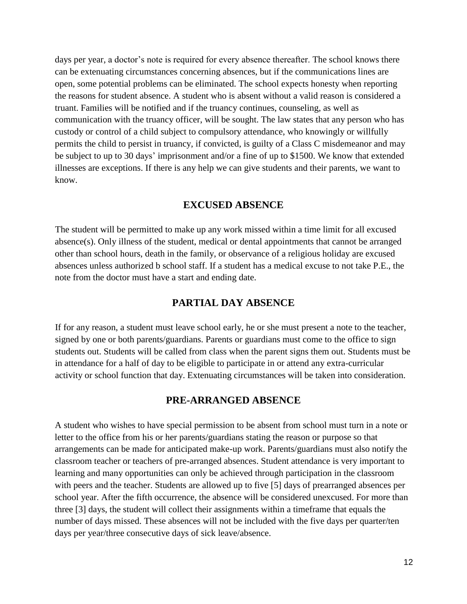days per year, a doctor's note is required for every absence thereafter. The school knows there can be extenuating circumstances concerning absences, but if the communications lines are open, some potential problems can be eliminated. The school expects honesty when reporting the reasons for student absence. A student who is absent without a valid reason is considered a truant. Families will be notified and if the truancy continues, counseling, as well as communication with the truancy officer, will be sought. The law states that any person who has custody or control of a child subject to compulsory attendance, who knowingly or willfully permits the child to persist in truancy, if convicted, is guilty of a Class C misdemeanor and may be subject to up to 30 days' imprisonment and/or a fine of up to \$1500. We know that extended illnesses are exceptions. If there is any help we can give students and their parents, we want to know.

#### **EXCUSED ABSENCE**

The student will be permitted to make up any work missed within a time limit for all excused absence(s). Only illness of the student, medical or dental appointments that cannot be arranged other than school hours, death in the family, or observance of a religious holiday are excused absences unless authorized b school staff. If a student has a medical excuse to not take P.E., the note from the doctor must have a start and ending date.

#### **PARTIAL DAY ABSENCE**

If for any reason, a student must leave school early, he or she must present a note to the teacher, signed by one or both parents/guardians. Parents or guardians must come to the office to sign students out. Students will be called from class when the parent signs them out. Students must be in attendance for a half of day to be eligible to participate in or attend any extra-curricular activity or school function that day. Extenuating circumstances will be taken into consideration.

#### **PRE-ARRANGED ABSENCE**

A student who wishes to have special permission to be absent from school must turn in a note or letter to the office from his or her parents/guardians stating the reason or purpose so that arrangements can be made for anticipated make-up work. Parents/guardians must also notify the classroom teacher or teachers of pre-arranged absences. Student attendance is very important to learning and many opportunities can only be achieved through participation in the classroom with peers and the teacher. Students are allowed up to five [5] days of prearranged absences per school year. After the fifth occurrence, the absence will be considered unexcused. For more than three [3] days, the student will collect their assignments within a timeframe that equals the number of days missed. These absences will not be included with the five days per quarter/ten days per year/three consecutive days of sick leave/absence.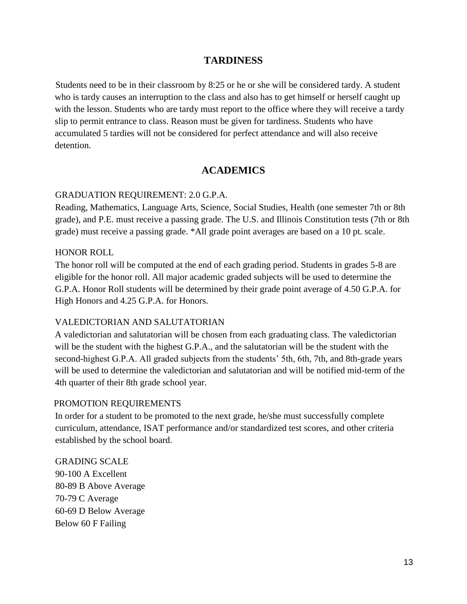## **TARDINESS**

Students need to be in their classroom by 8:25 or he or she will be considered tardy. A student who is tardy causes an interruption to the class and also has to get himself or herself caught up with the lesson. Students who are tardy must report to the office where they will receive a tardy slip to permit entrance to class. Reason must be given for tardiness. Students who have accumulated 5 tardies will not be considered for perfect attendance and will also receive detention.

## **ACADEMICS**

#### GRADUATION REQUIREMENT: 2.0 G.P.A.

Reading, Mathematics, Language Arts, Science, Social Studies, Health (one semester 7th or 8th grade), and P.E. must receive a passing grade. The U.S. and Illinois Constitution tests (7th or 8th grade) must receive a passing grade. \*All grade point averages are based on a 10 pt. scale.

#### HONOR ROLL

The honor roll will be computed at the end of each grading period. Students in grades 5-8 are eligible for the honor roll. All major academic graded subjects will be used to determine the G.P.A. Honor Roll students will be determined by their grade point average of 4.50 G.P.A. for High Honors and 4.25 G.P.A. for Honors.

#### VALEDICTORIAN AND SALUTATORIAN

A valedictorian and salutatorian will be chosen from each graduating class. The valedictorian will be the student with the highest G.P.A., and the salutatorian will be the student with the second-highest G.P.A. All graded subjects from the students' 5th, 6th, 7th, and 8th-grade years will be used to determine the valedictorian and salutatorian and will be notified mid-term of the 4th quarter of their 8th grade school year.

#### PROMOTION REQUIREMENTS

In order for a student to be promoted to the next grade, he/she must successfully complete curriculum, attendance, ISAT performance and/or standardized test scores, and other criteria established by the school board.

GRADING SCALE 90-100 A Excellent 80-89 B Above Average 70-79 C Average 60-69 D Below Average Below 60 F Failing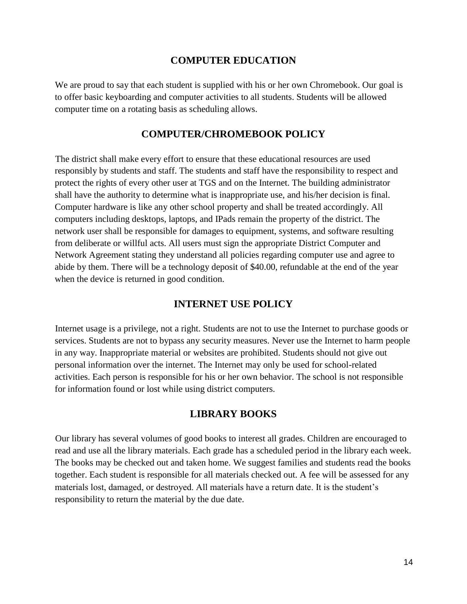#### **COMPUTER EDUCATION**

We are proud to say that each student is supplied with his or her own Chromebook. Our goal is to offer basic keyboarding and computer activities to all students. Students will be allowed computer time on a rotating basis as scheduling allows.

#### **COMPUTER/CHROMEBOOK POLICY**

The district shall make every effort to ensure that these educational resources are used responsibly by students and staff. The students and staff have the responsibility to respect and protect the rights of every other user at TGS and on the Internet. The building administrator shall have the authority to determine what is inappropriate use, and his/her decision is final. Computer hardware is like any other school property and shall be treated accordingly. All computers including desktops, laptops, and IPads remain the property of the district. The network user shall be responsible for damages to equipment, systems, and software resulting from deliberate or willful acts. All users must sign the appropriate District Computer and Network Agreement stating they understand all policies regarding computer use and agree to abide by them. There will be a technology deposit of \$40.00, refundable at the end of the year when the device is returned in good condition.

#### **INTERNET USE POLICY**

Internet usage is a privilege, not a right. Students are not to use the Internet to purchase goods or services. Students are not to bypass any security measures. Never use the Internet to harm people in any way. Inappropriate material or websites are prohibited. Students should not give out personal information over the internet. The Internet may only be used for school-related activities. Each person is responsible for his or her own behavior. The school is not responsible for information found or lost while using district computers.

#### **LIBRARY BOOKS**

Our library has several volumes of good books to interest all grades. Children are encouraged to read and use all the library materials. Each grade has a scheduled period in the library each week. The books may be checked out and taken home. We suggest families and students read the books together. Each student is responsible for all materials checked out. A fee will be assessed for any materials lost, damaged, or destroyed. All materials have a return date. It is the student's responsibility to return the material by the due date.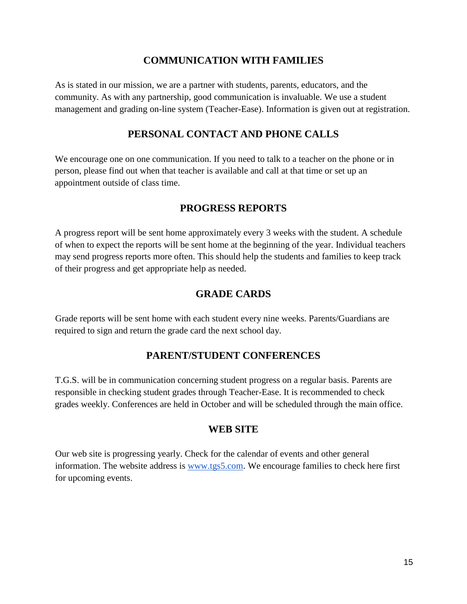# **COMMUNICATION WITH FAMILIES**

As is stated in our mission, we are a partner with students, parents, educators, and the community. As with any partnership, good communication is invaluable. We use a student management and grading on-line system (Teacher-Ease). Information is given out at registration.

# **PERSONAL CONTACT AND PHONE CALLS**

We encourage one on one communication. If you need to talk to a teacher on the phone or in person, please find out when that teacher is available and call at that time or set up an appointment outside of class time.

# **PROGRESS REPORTS**

A progress report will be sent home approximately every 3 weeks with the student. A schedule of when to expect the reports will be sent home at the beginning of the year. Individual teachers may send progress reports more often. This should help the students and families to keep track of their progress and get appropriate help as needed.

# **GRADE CARDS**

Grade reports will be sent home with each student every nine weeks. Parents/Guardians are required to sign and return the grade card the next school day.

# **PARENT/STUDENT CONFERENCES**

T.G.S. will be in communication concerning student progress on a regular basis. Parents are responsible in checking student grades through Teacher-Ease. It is recommended to check grades weekly. Conferences are held in October and will be scheduled through the main office.

# **WEB SITE**

Our web site is progressing yearly. Check for the calendar of events and other general information. The website address is www.tgs5.com. We encourage families to check here first for upcoming events.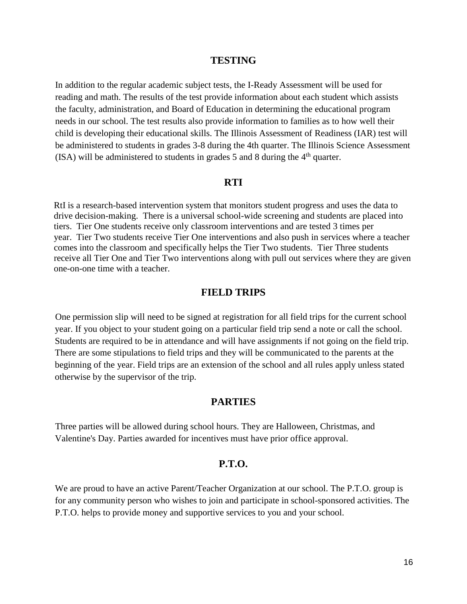#### **TESTING**

In addition to the regular academic subject tests, the I-Ready Assessment will be used for reading and math. The results of the test provide information about each student which assists the faculty, administration, and Board of Education in determining the educational program needs in our school. The test results also provide information to families as to how well their child is developing their educational skills. The Illinois Assessment of Readiness (IAR) test will be administered to students in grades 3-8 during the 4th quarter. The Illinois Science Assessment (ISA) will be administered to students in grades 5 and 8 during the  $4<sup>th</sup>$  quarter.

#### **RTI**

RtI is a research-based intervention system that monitors student progress and uses the data to drive decision-making. There is a universal school-wide screening and students are placed into tiers. Tier One students receive only classroom interventions and are tested 3 times per year. Tier Two students receive Tier One interventions and also push in services where a teacher comes into the classroom and specifically helps the Tier Two students. Tier Three students receive all Tier One and Tier Two interventions along with pull out services where they are given one-on-one time with a teacher.

#### **FIELD TRIPS**

One permission slip will need to be signed at registration for all field trips for the current school year. If you object to your student going on a particular field trip send a note or call the school. Students are required to be in attendance and will have assignments if not going on the field trip. There are some stipulations to field trips and they will be communicated to the parents at the beginning of the year. Field trips are an extension of the school and all rules apply unless stated otherwise by the supervisor of the trip.

#### **PARTIES**

Three parties will be allowed during school hours. They are Halloween, Christmas, and Valentine's Day. Parties awarded for incentives must have prior office approval.

#### **P.T.O.**

We are proud to have an active Parent/Teacher Organization at our school. The P.T.O. group is for any community person who wishes to join and participate in school-sponsored activities. The P.T.O. helps to provide money and supportive services to you and your school.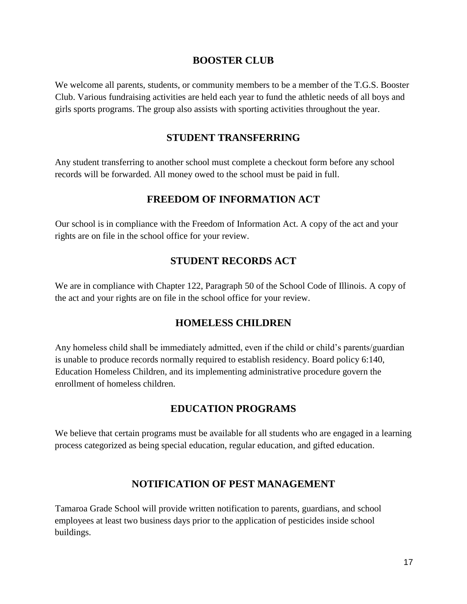## **BOOSTER CLUB**

We welcome all parents, students, or community members to be a member of the T.G.S. Booster Club. Various fundraising activities are held each year to fund the athletic needs of all boys and girls sports programs. The group also assists with sporting activities throughout the year.

# **STUDENT TRANSFERRING**

Any student transferring to another school must complete a checkout form before any school records will be forwarded. All money owed to the school must be paid in full.

## **FREEDOM OF INFORMATION ACT**

Our school is in compliance with the Freedom of Information Act. A copy of the act and your rights are on file in the school office for your review.

# **STUDENT RECORDS ACT**

We are in compliance with Chapter 122, Paragraph 50 of the School Code of Illinois. A copy of the act and your rights are on file in the school office for your review.

### **HOMELESS CHILDREN**

Any homeless child shall be immediately admitted, even if the child or child's parents/guardian is unable to produce records normally required to establish residency. Board policy 6:140, Education Homeless Children, and its implementing administrative procedure govern the enrollment of homeless children.

# **EDUCATION PROGRAMS**

We believe that certain programs must be available for all students who are engaged in a learning process categorized as being special education, regular education, and gifted education.

# **NOTIFICATION OF PEST MANAGEMENT**

Tamaroa Grade School will provide written notification to parents, guardians, and school employees at least two business days prior to the application of pesticides inside school buildings.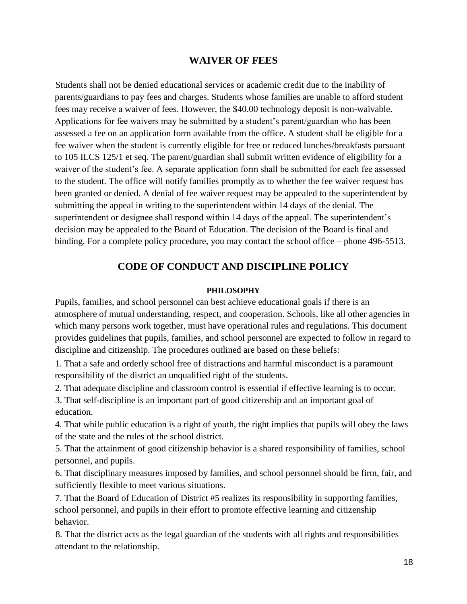## **WAIVER OF FEES**

Students shall not be denied educational services or academic credit due to the inability of parents/guardians to pay fees and charges. Students whose families are unable to afford student fees may receive a waiver of fees. However, the \$40.00 technology deposit is non-waivable. Applications for fee waivers may be submitted by a student's parent/guardian who has been assessed a fee on an application form available from the office. A student shall be eligible for a fee waiver when the student is currently eligible for free or reduced lunches/breakfasts pursuant to 105 ILCS 125/1 et seq. The parent/guardian shall submit written evidence of eligibility for a waiver of the student's fee. A separate application form shall be submitted for each fee assessed to the student. The office will notify families promptly as to whether the fee waiver request has been granted or denied. A denial of fee waiver request may be appealed to the superintendent by submitting the appeal in writing to the superintendent within 14 days of the denial. The superintendent or designee shall respond within 14 days of the appeal. The superintendent's decision may be appealed to the Board of Education. The decision of the Board is final and binding. For a complete policy procedure, you may contact the school office – phone 496-5513.

## **CODE OF CONDUCT AND DISCIPLINE POLICY**

#### **PHILOSOPHY**

Pupils, families, and school personnel can best achieve educational goals if there is an atmosphere of mutual understanding, respect, and cooperation. Schools, like all other agencies in which many persons work together, must have operational rules and regulations. This document provides guidelines that pupils, families, and school personnel are expected to follow in regard to discipline and citizenship. The procedures outlined are based on these beliefs:

1. That a safe and orderly school free of distractions and harmful misconduct is a paramount responsibility of the district an unqualified right of the students.

2. That adequate discipline and classroom control is essential if effective learning is to occur.

3. That self-discipline is an important part of good citizenship and an important goal of education.

4. That while public education is a right of youth, the right implies that pupils will obey the laws of the state and the rules of the school district.

5. That the attainment of good citizenship behavior is a shared responsibility of families, school personnel, and pupils.

6. That disciplinary measures imposed by families, and school personnel should be firm, fair, and sufficiently flexible to meet various situations.

7. That the Board of Education of District #5 realizes its responsibility in supporting families, school personnel, and pupils in their effort to promote effective learning and citizenship behavior.

8. That the district acts as the legal guardian of the students with all rights and responsibilities attendant to the relationship.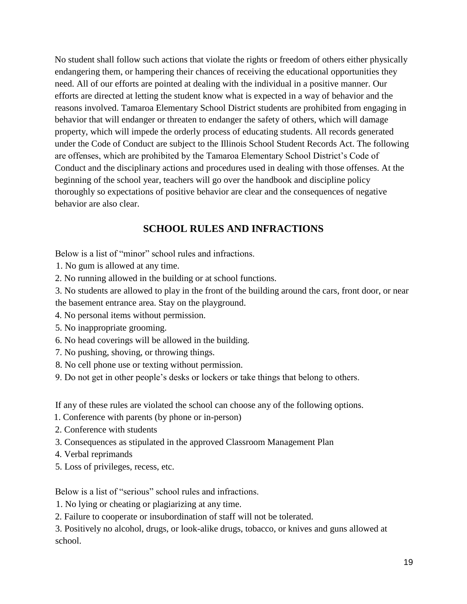No student shall follow such actions that violate the rights or freedom of others either physically endangering them, or hampering their chances of receiving the educational opportunities they need. All of our efforts are pointed at dealing with the individual in a positive manner. Our efforts are directed at letting the student know what is expected in a way of behavior and the reasons involved. Tamaroa Elementary School District students are prohibited from engaging in behavior that will endanger or threaten to endanger the safety of others, which will damage property, which will impede the orderly process of educating students. All records generated under the Code of Conduct are subject to the Illinois School Student Records Act. The following are offenses, which are prohibited by the Tamaroa Elementary School District's Code of Conduct and the disciplinary actions and procedures used in dealing with those offenses. At the beginning of the school year, teachers will go over the handbook and discipline policy thoroughly so expectations of positive behavior are clear and the consequences of negative behavior are also clear.

# **SCHOOL RULES AND INFRACTIONS**

Below is a list of "minor" school rules and infractions.

- 1. No gum is allowed at any time.
- 2. No running allowed in the building or at school functions.

3. No students are allowed to play in the front of the building around the cars, front door, or near the basement entrance area. Stay on the playground.

- 4. No personal items without permission.
- 5. No inappropriate grooming.
- 6. No head coverings will be allowed in the building.
- 7. No pushing, shoving, or throwing things.
- 8. No cell phone use or texting without permission.
- 9. Do not get in other people's desks or lockers or take things that belong to others.

If any of these rules are violated the school can choose any of the following options.

- 1. Conference with parents (by phone or in-person)
- 2. Conference with students
- 3. Consequences as stipulated in the approved Classroom Management Plan
- 4. Verbal reprimands
- 5. Loss of privileges, recess, etc.

Below is a list of "serious" school rules and infractions.

1. No lying or cheating or plagiarizing at any time.

2. Failure to cooperate or insubordination of staff will not be tolerated.

3. Positively no alcohol, drugs, or look-alike drugs, tobacco, or knives and guns allowed at school.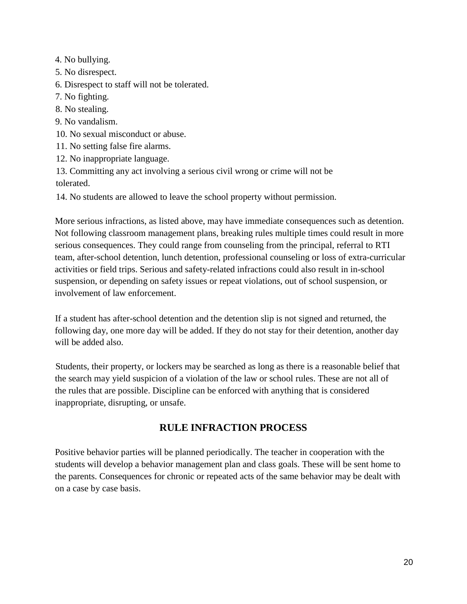4. No bullying.

5. No disrespect.

6. Disrespect to staff will not be tolerated.

- 7. No fighting.
- 8. No stealing.
- 9. No vandalism.
- 10. No sexual misconduct or abuse.
- 11. No setting false fire alarms.
- 12. No inappropriate language.

13. Committing any act involving a serious civil wrong or crime will not be tolerated.

14. No students are allowed to leave the school property without permission.

More serious infractions, as listed above, may have immediate consequences such as detention. Not following classroom management plans, breaking rules multiple times could result in more serious consequences. They could range from counseling from the principal, referral to RTI team, after-school detention, lunch detention, professional counseling or loss of extra-curricular activities or field trips. Serious and safety-related infractions could also result in in-school suspension, or depending on safety issues or repeat violations, out of school suspension, or involvement of law enforcement.

If a student has after-school detention and the detention slip is not signed and returned, the following day, one more day will be added. If they do not stay for their detention, another day will be added also.

Students, their property, or lockers may be searched as long as there is a reasonable belief that the search may yield suspicion of a violation of the law or school rules. These are not all of the rules that are possible. Discipline can be enforced with anything that is considered inappropriate, disrupting, or unsafe.

# **RULE INFRACTION PROCESS**

Positive behavior parties will be planned periodically. The teacher in cooperation with the students will develop a behavior management plan and class goals. These will be sent home to the parents. Consequences for chronic or repeated acts of the same behavior may be dealt with on a case by case basis.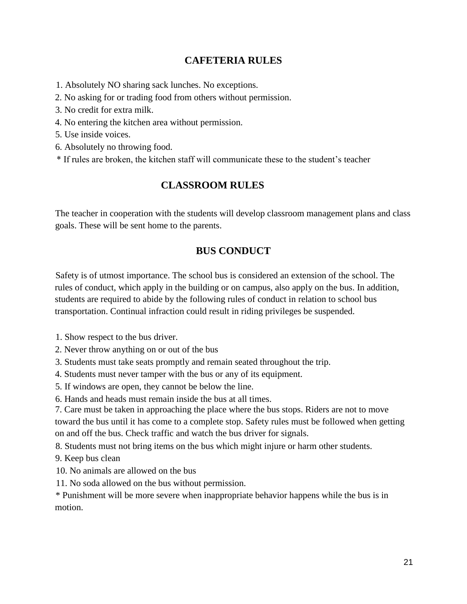# **CAFETERIA RULES**

1. Absolutely NO sharing sack lunches. No exceptions.

- 2. No asking for or trading food from others without permission.
- 3. No credit for extra milk.
- 4. No entering the kitchen area without permission.
- 5. Use inside voices.
- 6. Absolutely no throwing food.
- \* If rules are broken, the kitchen staff will communicate these to the student's teacher

# **CLASSROOM RULES**

The teacher in cooperation with the students will develop classroom management plans and class goals. These will be sent home to the parents.

# **BUS CONDUCT**

Safety is of utmost importance. The school bus is considered an extension of the school. The rules of conduct, which apply in the building or on campus, also apply on the bus. In addition, students are required to abide by the following rules of conduct in relation to school bus transportation. Continual infraction could result in riding privileges be suspended.

1. Show respect to the bus driver.

- 2. Never throw anything on or out of the bus
- 3. Students must take seats promptly and remain seated throughout the trip.
- 4. Students must never tamper with the bus or any of its equipment.
- 5. If windows are open, they cannot be below the line.
- 6. Hands and heads must remain inside the bus at all times.
- 7. Care must be taken in approaching the place where the bus stops. Riders are not to move toward the bus until it has come to a complete stop. Safety rules must be followed when getting on and off the bus. Check traffic and watch the bus driver for signals.

8. Students must not bring items on the bus which might injure or harm other students.

9. Keep bus clean

- 10. No animals are allowed on the bus
- 11. No soda allowed on the bus without permission.

\* Punishment will be more severe when inappropriate behavior happens while the bus is in motion.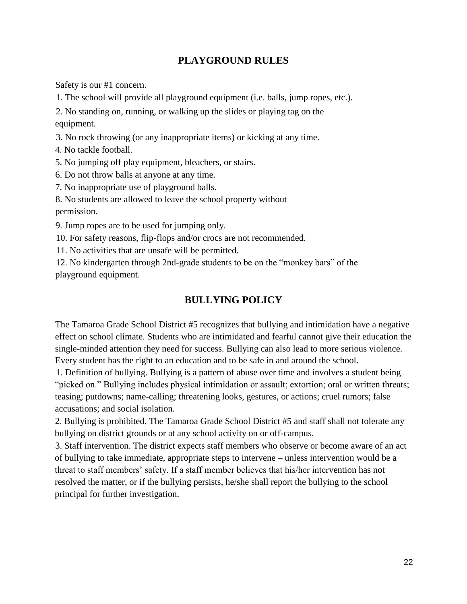# **PLAYGROUND RULES**

Safety is our #1 concern.

1. The school will provide all playground equipment (i.e. balls, jump ropes, etc.).

2. No standing on, running, or walking up the slides or playing tag on the equipment.

3. No rock throwing (or any inappropriate items) or kicking at any time.

4. No tackle football.

5. No jumping off play equipment, bleachers, or stairs.

6. Do not throw balls at anyone at any time.

7. No inappropriate use of playground balls.

8. No students are allowed to leave the school property without permission.

9. Jump ropes are to be used for jumping only.

10. For safety reasons, flip-flops and/or crocs are not recommended.

11. No activities that are unsafe will be permitted.

12. No kindergarten through 2nd-grade students to be on the "monkey bars" of the playground equipment.

# **BULLYING POLICY**

The Tamaroa Grade School District #5 recognizes that bullying and intimidation have a negative effect on school climate. Students who are intimidated and fearful cannot give their education the single-minded attention they need for success. Bullying can also lead to more serious violence. Every student has the right to an education and to be safe in and around the school.

1. Definition of bullying. Bullying is a pattern of abuse over time and involves a student being "picked on." Bullying includes physical intimidation or assault; extortion; oral or written threats; teasing; putdowns; name-calling; threatening looks, gestures, or actions; cruel rumors; false accusations; and social isolation.

2. Bullying is prohibited. The Tamaroa Grade School District #5 and staff shall not tolerate any bullying on district grounds or at any school activity on or off-campus.

3. Staff intervention. The district expects staff members who observe or become aware of an act of bullying to take immediate, appropriate steps to intervene – unless intervention would be a threat to staff members' safety. If a staff member believes that his/her intervention has not resolved the matter, or if the bullying persists, he/she shall report the bullying to the school principal for further investigation.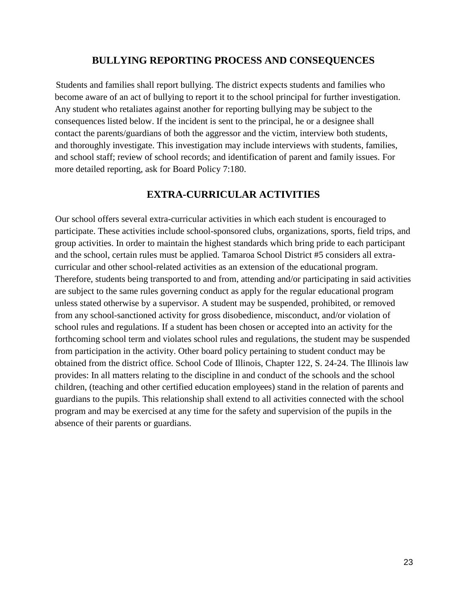## **BULLYING REPORTING PROCESS AND CONSEQUENCES**

Students and families shall report bullying. The district expects students and families who become aware of an act of bullying to report it to the school principal for further investigation. Any student who retaliates against another for reporting bullying may be subject to the consequences listed below. If the incident is sent to the principal, he or a designee shall contact the parents/guardians of both the aggressor and the victim, interview both students, and thoroughly investigate. This investigation may include interviews with students, families, and school staff; review of school records; and identification of parent and family issues. For more detailed reporting, ask for Board Policy 7:180.

# **EXTRA-CURRICULAR ACTIVITIES**

Our school offers several extra-curricular activities in which each student is encouraged to participate. These activities include school-sponsored clubs, organizations, sports, field trips, and group activities. In order to maintain the highest standards which bring pride to each participant and the school, certain rules must be applied. Tamaroa School District #5 considers all extracurricular and other school-related activities as an extension of the educational program. Therefore, students being transported to and from, attending and/or participating in said activities are subject to the same rules governing conduct as apply for the regular educational program unless stated otherwise by a supervisor. A student may be suspended, prohibited, or removed from any school-sanctioned activity for gross disobedience, misconduct, and/or violation of school rules and regulations. If a student has been chosen or accepted into an activity for the forthcoming school term and violates school rules and regulations, the student may be suspended from participation in the activity. Other board policy pertaining to student conduct may be obtained from the district office. School Code of Illinois, Chapter 122, S. 24-24. The Illinois law provides: In all matters relating to the discipline in and conduct of the schools and the school children, (teaching and other certified education employees) stand in the relation of parents and guardians to the pupils. This relationship shall extend to all activities connected with the school program and may be exercised at any time for the safety and supervision of the pupils in the absence of their parents or guardians.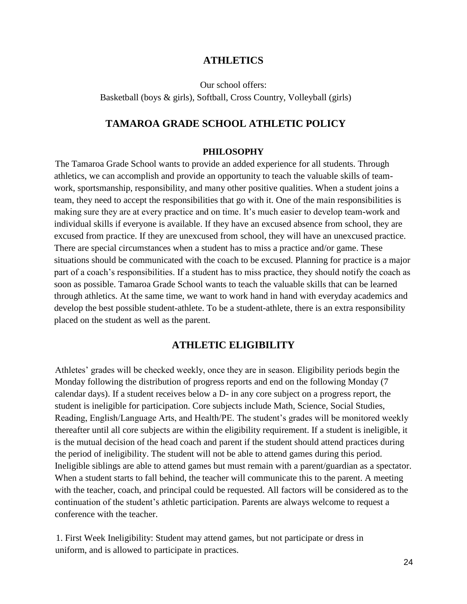#### **ATHLETICS**

Our school offers:

Basketball (boys & girls), Softball, Cross Country, Volleyball (girls)

#### **TAMAROA GRADE SCHOOL ATHLETIC POLICY**

#### **PHILOSOPHY**

The Tamaroa Grade School wants to provide an added experience for all students. Through athletics, we can accomplish and provide an opportunity to teach the valuable skills of teamwork, sportsmanship, responsibility, and many other positive qualities. When a student joins a team, they need to accept the responsibilities that go with it. One of the main responsibilities is making sure they are at every practice and on time. It's much easier to develop team-work and individual skills if everyone is available. If they have an excused absence from school, they are excused from practice. If they are unexcused from school, they will have an unexcused practice. There are special circumstances when a student has to miss a practice and/or game. These situations should be communicated with the coach to be excused. Planning for practice is a major part of a coach's responsibilities. If a student has to miss practice, they should notify the coach as soon as possible. Tamaroa Grade School wants to teach the valuable skills that can be learned through athletics. At the same time, we want to work hand in hand with everyday academics and develop the best possible student-athlete. To be a student-athlete, there is an extra responsibility placed on the student as well as the parent.

## **ATHLETIC ELIGIBILITY**

Athletes' grades will be checked weekly, once they are in season. Eligibility periods begin the Monday following the distribution of progress reports and end on the following Monday (7 calendar days). If a student receives below a D- in any core subject on a progress report, the student is ineligible for participation. Core subjects include Math, Science, Social Studies, Reading, English/Language Arts, and Health/PE. The student's grades will be monitored weekly thereafter until all core subjects are within the eligibility requirement. If a student is ineligible, it is the mutual decision of the head coach and parent if the student should attend practices during the period of ineligibility. The student will not be able to attend games during this period. Ineligible siblings are able to attend games but must remain with a parent/guardian as a spectator. When a student starts to fall behind, the teacher will communicate this to the parent. A meeting with the teacher, coach, and principal could be requested. All factors will be considered as to the continuation of the student's athletic participation. Parents are always welcome to request a conference with the teacher.

1. First Week Ineligibility: Student may attend games, but not participate or dress in uniform, and is allowed to participate in practices.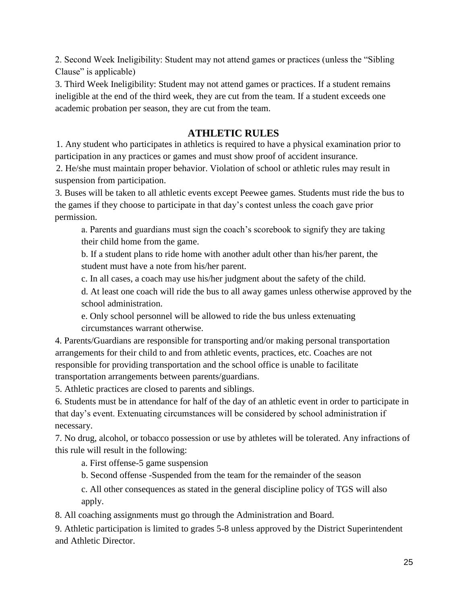2. Second Week Ineligibility: Student may not attend games or practices (unless the "Sibling Clause" is applicable)

3. Third Week Ineligibility: Student may not attend games or practices. If a student remains ineligible at the end of the third week, they are cut from the team. If a student exceeds one academic probation per season, they are cut from the team.

# **ATHLETIC RULES**

1. Any student who participates in athletics is required to have a physical examination prior to participation in any practices or games and must show proof of accident insurance.

2. He/she must maintain proper behavior. Violation of school or athletic rules may result in suspension from participation.

3. Buses will be taken to all athletic events except Peewee games. Students must ride the bus to the games if they choose to participate in that day's contest unless the coach gave prior permission.

a. Parents and guardians must sign the coach's scorebook to signify they are taking their child home from the game.

b. If a student plans to ride home with another adult other than his/her parent, the student must have a note from his/her parent.

c. In all cases, a coach may use his/her judgment about the safety of the child.

d. At least one coach will ride the bus to all away games unless otherwise approved by the school administration.

e. Only school personnel will be allowed to ride the bus unless extenuating circumstances warrant otherwise.

4. Parents/Guardians are responsible for transporting and/or making personal transportation arrangements for their child to and from athletic events, practices, etc. Coaches are not responsible for providing transportation and the school office is unable to facilitate transportation arrangements between parents/guardians.

5. Athletic practices are closed to parents and siblings.

6. Students must be in attendance for half of the day of an athletic event in order to participate in that day's event. Extenuating circumstances will be considered by school administration if necessary.

7. No drug, alcohol, or tobacco possession or use by athletes will be tolerated. Any infractions of this rule will result in the following:

a. First offense-5 game suspension

b. Second offense -Suspended from the team for the remainder of the season

c. All other consequences as stated in the general discipline policy of TGS will also apply.

8. All coaching assignments must go through the Administration and Board.

9. Athletic participation is limited to grades 5-8 unless approved by the District Superintendent and Athletic Director.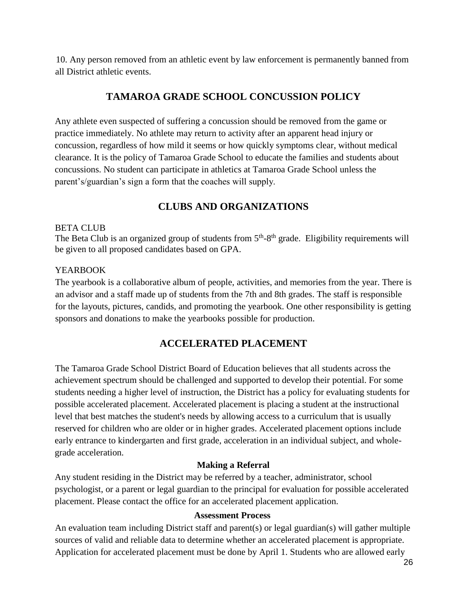10. Any person removed from an athletic event by law enforcement is permanently banned from all District athletic events.

# **TAMAROA GRADE SCHOOL CONCUSSION POLICY**

Any athlete even suspected of suffering a concussion should be removed from the game or practice immediately. No athlete may return to activity after an apparent head injury or concussion, regardless of how mild it seems or how quickly symptoms clear, without medical clearance. It is the policy of Tamaroa Grade School to educate the families and students about concussions. No student can participate in athletics at Tamaroa Grade School unless the parent's/guardian's sign a form that the coaches will supply.

# **CLUBS AND ORGANIZATIONS**

### BETA CLUB

The Beta Club is an organized group of students from  $5<sup>th</sup>-8<sup>th</sup>$  grade. Eligibility requirements will be given to all proposed candidates based on GPA.

### YEARBOOK

The yearbook is a collaborative album of people, activities, and memories from the year. There is an advisor and a staff made up of students from the 7th and 8th grades. The staff is responsible for the layouts, pictures, candids, and promoting the yearbook. One other responsibility is getting sponsors and donations to make the yearbooks possible for production.

# **ACCELERATED PLACEMENT**

The Tamaroa Grade School District Board of Education believes that all students across the achievement spectrum should be challenged and supported to develop their potential. For some students needing a higher level of instruction, the District has a policy for evaluating students for possible accelerated placement. Accelerated placement is placing a student at the instructional level that best matches the student's needs by allowing access to a curriculum that is usually reserved for children who are older or in higher grades. Accelerated placement options include early entrance to kindergarten and first grade, acceleration in an individual subject, and wholegrade acceleration.

### **Making a Referral**

Any student residing in the District may be referred by a teacher, administrator, school psychologist, or a parent or legal guardian to the principal for evaluation for possible accelerated placement. Please contact the office for an accelerated placement application.

#### **Assessment Process**

An evaluation team including District staff and parent(s) or legal guardian(s) will gather multiple sources of valid and reliable data to determine whether an accelerated placement is appropriate. Application for accelerated placement must be done by April 1. Students who are allowed early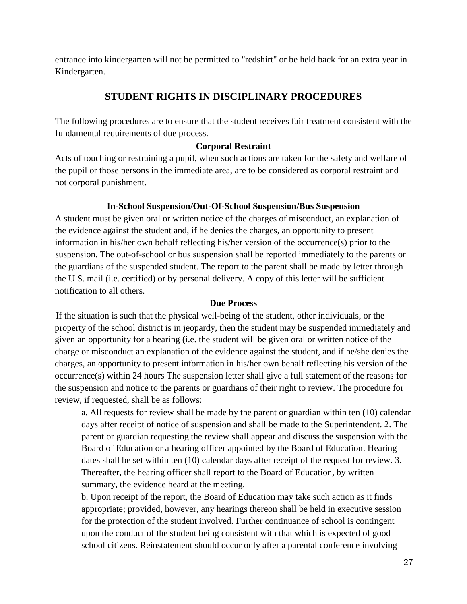entrance into kindergarten will not be permitted to "redshirt" or be held back for an extra year in Kindergarten.

# **STUDENT RIGHTS IN DISCIPLINARY PROCEDURES**

The following procedures are to ensure that the student receives fair treatment consistent with the fundamental requirements of due process.

## **Corporal Restraint**

Acts of touching or restraining a pupil, when such actions are taken for the safety and welfare of the pupil or those persons in the immediate area, are to be considered as corporal restraint and not corporal punishment.

## **In-School Suspension/Out-Of-School Suspension/Bus Suspension**

A student must be given oral or written notice of the charges of misconduct, an explanation of the evidence against the student and, if he denies the charges, an opportunity to present information in his/her own behalf reflecting his/her version of the occurrence(s) prior to the suspension. The out-of-school or bus suspension shall be reported immediately to the parents or the guardians of the suspended student. The report to the parent shall be made by letter through the U.S. mail (i.e. certified) or by personal delivery. A copy of this letter will be sufficient notification to all others.

#### **Due Process**

If the situation is such that the physical well-being of the student, other individuals, or the property of the school district is in jeopardy, then the student may be suspended immediately and given an opportunity for a hearing (i.e. the student will be given oral or written notice of the charge or misconduct an explanation of the evidence against the student, and if he/she denies the charges, an opportunity to present information in his/her own behalf reflecting his version of the occurrence(s) within 24 hours The suspension letter shall give a full statement of the reasons for the suspension and notice to the parents or guardians of their right to review. The procedure for review, if requested, shall be as follows:

a. All requests for review shall be made by the parent or guardian within ten (10) calendar days after receipt of notice of suspension and shall be made to the Superintendent. 2. The parent or guardian requesting the review shall appear and discuss the suspension with the Board of Education or a hearing officer appointed by the Board of Education. Hearing dates shall be set within ten (10) calendar days after receipt of the request for review. 3. Thereafter, the hearing officer shall report to the Board of Education, by written summary, the evidence heard at the meeting.

b. Upon receipt of the report, the Board of Education may take such action as it finds appropriate; provided, however, any hearings thereon shall be held in executive session for the protection of the student involved. Further continuance of school is contingent upon the conduct of the student being consistent with that which is expected of good school citizens. Reinstatement should occur only after a parental conference involving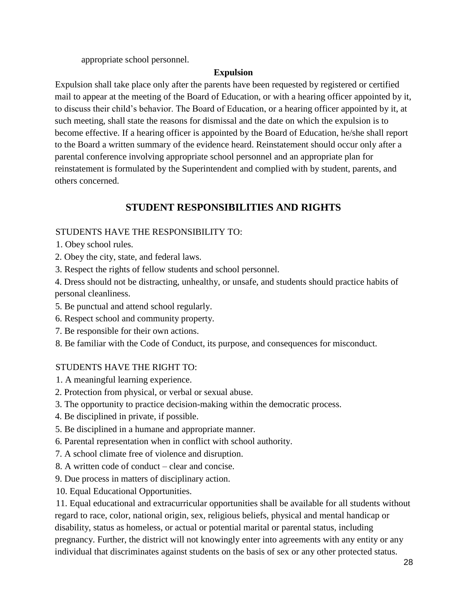appropriate school personnel.

# **Expulsion**

Expulsion shall take place only after the parents have been requested by registered or certified mail to appear at the meeting of the Board of Education, or with a hearing officer appointed by it, to discuss their child's behavior. The Board of Education, or a hearing officer appointed by it, at such meeting, shall state the reasons for dismissal and the date on which the expulsion is to become effective. If a hearing officer is appointed by the Board of Education, he/she shall report to the Board a written summary of the evidence heard. Reinstatement should occur only after a parental conference involving appropriate school personnel and an appropriate plan for reinstatement is formulated by the Superintendent and complied with by student, parents, and others concerned.

# **STUDENT RESPONSIBILITIES AND RIGHTS**

# STUDENTS HAVE THE RESPONSIBILITY TO:

- 1. Obey school rules.
- 2. Obey the city, state, and federal laws.
- 3. Respect the rights of fellow students and school personnel.

4. Dress should not be distracting, unhealthy, or unsafe, and students should practice habits of personal cleanliness.

- 5. Be punctual and attend school regularly.
- 6. Respect school and community property.
- 7. Be responsible for their own actions.
- 8. Be familiar with the Code of Conduct, its purpose, and consequences for misconduct.

# STUDENTS HAVE THE RIGHT TO:

- 1. A meaningful learning experience.
- 2. Protection from physical, or verbal or sexual abuse.
- 3. The opportunity to practice decision-making within the democratic process.
- 4. Be disciplined in private, if possible.
- 5. Be disciplined in a humane and appropriate manner.
- 6. Parental representation when in conflict with school authority.
- 7. A school climate free of violence and disruption.
- 8. A written code of conduct clear and concise.
- 9. Due process in matters of disciplinary action.
- 10. Equal Educational Opportunities.

11. Equal educational and extracurricular opportunities shall be available for all students without regard to race, color, national origin, sex, religious beliefs, physical and mental handicap or disability, status as homeless, or actual or potential marital or parental status, including pregnancy. Further, the district will not knowingly enter into agreements with any entity or any individual that discriminates against students on the basis of sex or any other protected status.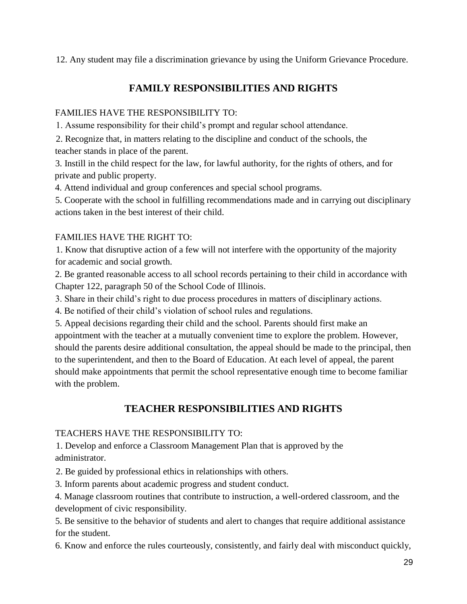12. Any student may file a discrimination grievance by using the Uniform Grievance Procedure.

# **FAMILY RESPONSIBILITIES AND RIGHTS**

# FAMILIES HAVE THE RESPONSIBILITY TO:

1. Assume responsibility for their child's prompt and regular school attendance.

2. Recognize that, in matters relating to the discipline and conduct of the schools, the teacher stands in place of the parent.

3. Instill in the child respect for the law, for lawful authority, for the rights of others, and for private and public property.

4. Attend individual and group conferences and special school programs.

5. Cooperate with the school in fulfilling recommendations made and in carrying out disciplinary actions taken in the best interest of their child.

# FAMILIES HAVE THE RIGHT TO:

1. Know that disruptive action of a few will not interfere with the opportunity of the majority for academic and social growth.

2. Be granted reasonable access to all school records pertaining to their child in accordance with Chapter 122, paragraph 50 of the School Code of Illinois.

3. Share in their child's right to due process procedures in matters of disciplinary actions.

4. Be notified of their child's violation of school rules and regulations.

5. Appeal decisions regarding their child and the school. Parents should first make an appointment with the teacher at a mutually convenient time to explore the problem. However, should the parents desire additional consultation, the appeal should be made to the principal, then to the superintendent, and then to the Board of Education. At each level of appeal, the parent should make appointments that permit the school representative enough time to become familiar with the problem.

# **TEACHER RESPONSIBILITIES AND RIGHTS**

# TEACHERS HAVE THE RESPONSIBILITY TO:

1. Develop and enforce a Classroom Management Plan that is approved by the administrator.

2. Be guided by professional ethics in relationships with others.

3. Inform parents about academic progress and student conduct.

4. Manage classroom routines that contribute to instruction, a well-ordered classroom, and the development of civic responsibility.

5. Be sensitive to the behavior of students and alert to changes that require additional assistance for the student.

6. Know and enforce the rules courteously, consistently, and fairly deal with misconduct quickly,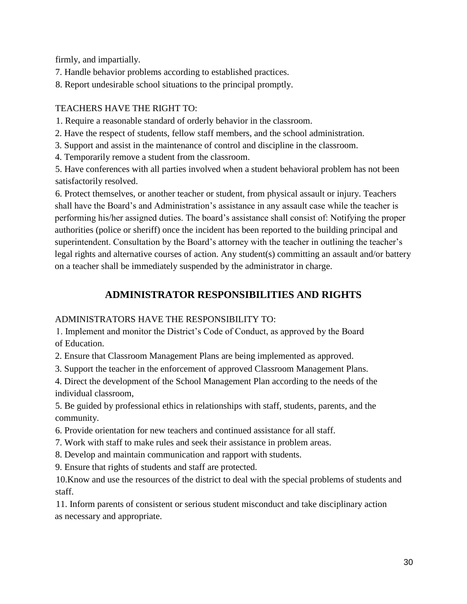firmly, and impartially.

7. Handle behavior problems according to established practices.

8. Report undesirable school situations to the principal promptly.

# TEACHERS HAVE THE RIGHT TO:

1. Require a reasonable standard of orderly behavior in the classroom.

2. Have the respect of students, fellow staff members, and the school administration.

3. Support and assist in the maintenance of control and discipline in the classroom.

4. Temporarily remove a student from the classroom.

5. Have conferences with all parties involved when a student behavioral problem has not been satisfactorily resolved.

6. Protect themselves, or another teacher or student, from physical assault or injury. Teachers shall have the Board's and Administration's assistance in any assault case while the teacher is performing his/her assigned duties. The board's assistance shall consist of: Notifying the proper authorities (police or sheriff) once the incident has been reported to the building principal and superintendent. Consultation by the Board's attorney with the teacher in outlining the teacher's legal rights and alternative courses of action. Any student(s) committing an assault and/or battery on a teacher shall be immediately suspended by the administrator in charge.

# **ADMINISTRATOR RESPONSIBILITIES AND RIGHTS**

# ADMINISTRATORS HAVE THE RESPONSIBILITY TO:

1. Implement and monitor the District's Code of Conduct, as approved by the Board of Education.

2. Ensure that Classroom Management Plans are being implemented as approved.

3. Support the teacher in the enforcement of approved Classroom Management Plans.

4. Direct the development of the School Management Plan according to the needs of the individual classroom,

5. Be guided by professional ethics in relationships with staff, students, parents, and the community.

6. Provide orientation for new teachers and continued assistance for all staff.

7. Work with staff to make rules and seek their assistance in problem areas.

8. Develop and maintain communication and rapport with students.

9. Ensure that rights of students and staff are protected.

10.Know and use the resources of the district to deal with the special problems of students and staff.

11. Inform parents of consistent or serious student misconduct and take disciplinary action as necessary and appropriate.